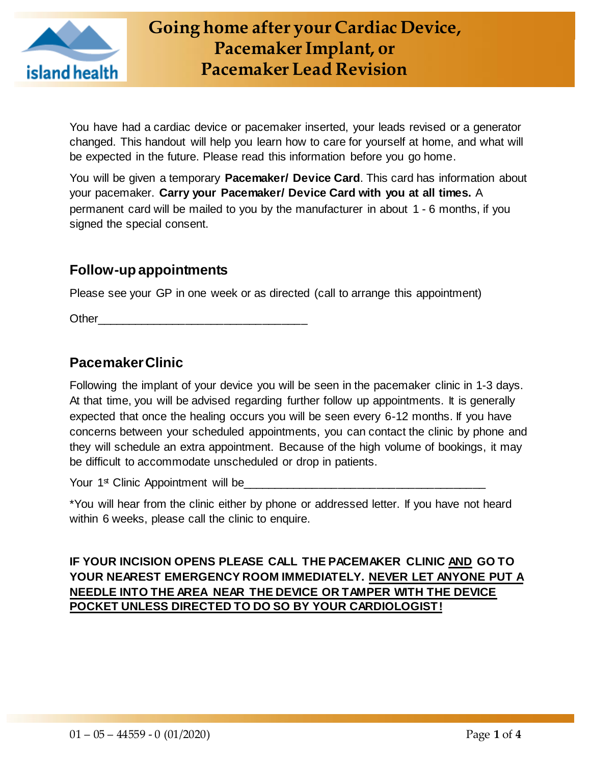

You have had a cardiac device or pacemaker inserted, your leads revised or a generator changed. This handout will help you learn how to care for yourself at home, and what will be expected in the future. Please read this information before you go home.

You will be given a temporary **Pacemaker/ Device Card**. This card has information about your pacemaker. **Carry your Pacemaker/ Device Card with you at all times.** A permanent card will be mailed to you by the manufacturer in about 1 - 6 months, if you signed the special consent.

## **Follow-up appointments**

Please see your GP in one week or as directed (call to arrange this appointment)

Other

# **Pacemaker Clinic**

Following the implant of your device you will be seen in the pacemaker clinic in 1-3 days. At that time, you will be advised regarding further follow up appointments. It is generally expected that once the healing occurs you will be seen every 6-12 months. If you have concerns between your scheduled appointments, you can contact the clinic by phone and they will schedule an extra appointment. Because of the high volume of bookings, it may be difficult to accommodate unscheduled or drop in patients.

Your 1<sup>st</sup> Clinic Appointment will be

\*You will hear from the clinic either by phone or addressed letter. If you have not heard within 6 weeks, please call the clinic to enquire.

#### **IF YOUR INCISION OPENS PLEASE CALL THE PACEMAKER CLINIC AND GO TO YOUR NEAREST EMERGENCY ROOM IMMEDIATELY. NEVER LET ANYONE PUT A NEEDLE INTO THE AREA NEAR THE DEVICE OR TAMPER WITH THE DEVICE POCKET UNLESS DIRECTED TO DO SO BY YOUR CARDIOLOGIST!**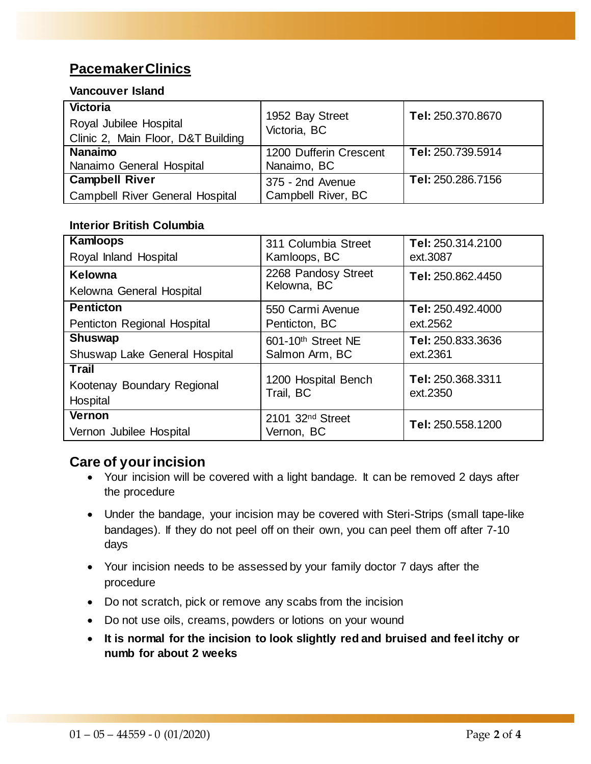# **Pacemaker Clinics**

#### **Vancouver Island**

| <b>Victoria</b><br>Royal Jubilee Hospital<br>Clinic 2, Main Floor, D&T Building | 1952 Bay Street<br>Victoria, BC | Tel: 250.370.8670 |
|---------------------------------------------------------------------------------|---------------------------------|-------------------|
| <b>Nanaimo</b>                                                                  | 1200 Dufferin Crescent          | Tel: 250.739.5914 |
| Nanaimo General Hospital                                                        | Nanaimo, BC                     |                   |
| <b>Campbell River</b>                                                           | 375 - 2nd Avenue                | Tel: 250.286.7156 |
| <b>Campbell River General Hospital</b>                                          | Campbell River, BC              |                   |

#### **Interior British Columbia**

| <b>Kamloops</b>                                        | 311 Columbia Street                        | Tel: 250.314.2100             |
|--------------------------------------------------------|--------------------------------------------|-------------------------------|
| Royal Inland Hospital                                  | Kamloops, BC                               | ext.3087                      |
| Kelowna<br>Kelowna General Hospital                    | 2268 Pandosy Street<br>Kelowna, BC         | Tel: 250.862.4450             |
| <b>Penticton</b>                                       | 550 Carmi Avenue                           | Tel: 250.492.4000             |
| Penticton Regional Hospital                            | Penticton, BC                              | ext.2562                      |
| <b>Shuswap</b>                                         | 601-10th Street NE                         | Tel: 250.833.3636             |
| Shuswap Lake General Hospital                          | Salmon Arm, BC                             | ext.2361                      |
| <b>Trail</b><br>Kootenay Boundary Regional<br>Hospital | 1200 Hospital Bench<br>Trail, BC           | Tel: 250.368.3311<br>ext.2350 |
| Vernon<br>Vernon Jubilee Hospital                      | 2101 32 <sup>nd</sup> Street<br>Vernon, BC | Tel: 250.558.1200             |

#### **Care of your incision**

- Your incision will be covered with a light bandage. It can be removed 2 days after the procedure
- Under the bandage, your incision may be covered with Steri-Strips (small tape-like bandages). If they do not peel off on their own, you can peel them off after 7-10 days
- Your incision needs to be assessed by your family doctor 7 days after the procedure
- Do not scratch, pick or remove any scabs from the incision
- Do not use oils, creams, powders or lotions on your wound
- **It is normal for the incision to look slightly red and bruised and feel itchy or numb for about 2 weeks**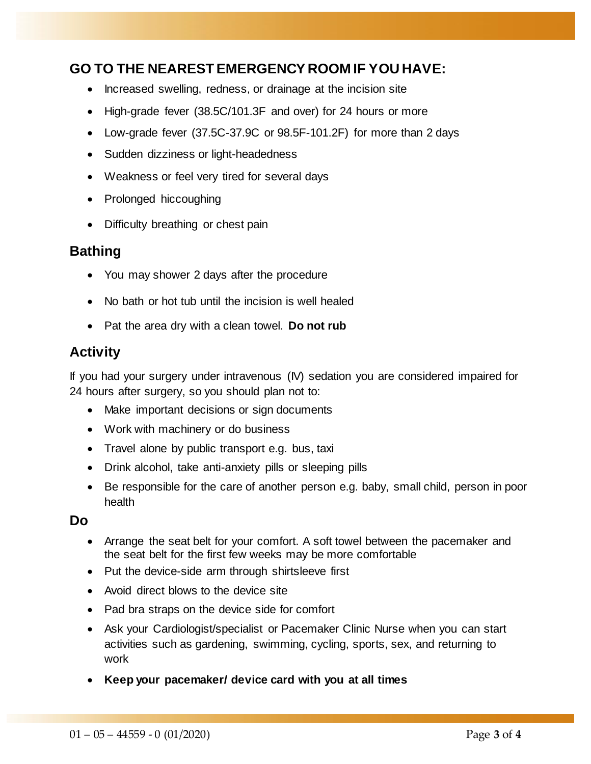# **GO TO THE NEAREST EMERGENCY ROOM IF YOU HAVE:**

- Increased swelling, redness, or drainage at the incision site
- High-grade fever (38.5C/101.3F and over) for 24 hours or more
- Low-grade fever (37.5C-37.9C or 98.5F-101.2F) for more than 2 days
- Sudden dizziness or light-headedness
- Weakness or feel very tired for several days
- Prolonged hiccoughing
- Difficulty breathing or chest pain

#### **Bathing**

- You may shower 2 days after the procedure
- No bath or hot tub until the incision is well healed
- Pat the area dry with a clean towel. **Do not rub**

### **Activity**

If you had your surgery under intravenous (IV) sedation you are considered impaired for 24 hours after surgery, so you should plan not to:

- Make important decisions or sign documents
- Work with machinery or do business
- Travel alone by public transport e.g. bus, taxi
- Drink alcohol, take anti-anxiety pills or sleeping pills
- Be responsible for the care of another person e.g. baby, small child, person in poor health

#### **Do**

- Arrange the seat belt for your comfort. A soft towel between the pacemaker and the seat belt for the first few weeks may be more comfortable
- Put the device-side arm through shirtsleeve first
- Avoid direct blows to the device site
- Pad bra straps on the device side for comfort
- Ask your Cardiologist/specialist or Pacemaker Clinic Nurse when you can start activities such as gardening, swimming, cycling, sports, sex, and returning to work
- **Keep your pacemaker/ device card with you at all times**